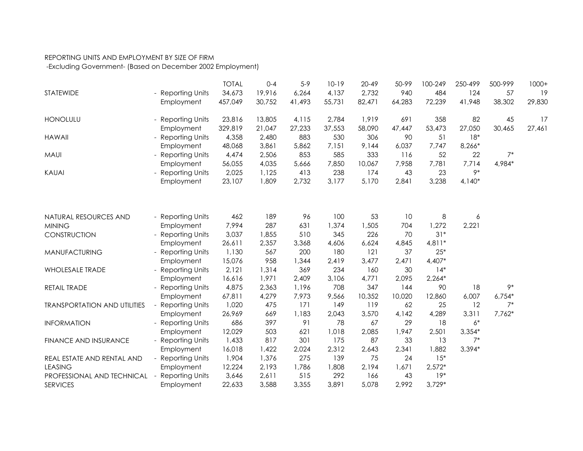## REPORTING UNITS AND EMPLOYMENT BY SIZE OF FIRM

-Excluding Government- (Based on December 2002 Employment)

|                                     |                        | <b>TOTAL</b> | $0 - 4$ | $5-9$  | $10-19$ | $20 - 49$ | 50-99  | 100-249  | 250-499  | 500-999  | $1000+$ |
|-------------------------------------|------------------------|--------------|---------|--------|---------|-----------|--------|----------|----------|----------|---------|
| <b>STATEWIDE</b>                    | - Reporting Units      | 34,673       | 19,916  | 6,264  | 4,137   | 2,732     | 940    | 484      | 124      | 57       | 19      |
|                                     | Employment             | 457,049      | 30,752  | 41,493 | 55,731  | 82,471    | 64,283 | 72,239   | 41,948   | 38,302   | 29,830  |
| <b>HONOLULU</b>                     | <b>Reporting Units</b> | 23,816       | 13,805  | 4,115  | 2,784   | 1,919     | 691    | 358      | 82       | 45       | 17      |
|                                     | Employment             | 329,819      | 21,047  | 27,233 | 37,553  | 58,090    | 47,447 | 53,473   | 27,050   | 30,465   | 27,461  |
| <b>HAWAII</b>                       | <b>Reporting Units</b> | 4,358        | 2,480   | 883    | 530     | 306       | 90     | 51       | $18*$    |          |         |
|                                     | Employment             | 48,068       | 3,861   | 5,862  | 7,151   | 9,144     | 6,037  | 7,747    | 8,266*   |          |         |
| <b>MAUI</b>                         | <b>Reporting Units</b> | 4,474        | 2,506   | 853    | 585     | 333       | 116    | 52       | 22       | $7*$     |         |
|                                     | Employment             | 56,055       | 4,035   | 5,666  | 7,850   | 10,067    | 7,958  | 7,781    | 7,714    | 4,984*   |         |
| KAUAI                               | - Reporting Units      | 2,025        | 1,125   | 413    | 238     | 174       | 43     | 23       | 9*       |          |         |
|                                     | Employment             | 23,107       | 1,809   | 2,732  | 3,177   | 5,170     | 2,841  | 3,238    | $4,140*$ |          |         |
|                                     |                        |              |         |        |         |           |        |          |          |          |         |
| NATURAL RESOURCES AND               | - Reporting Units      | 462          | 189     | 96     | 100     | 53        | 10     | 8        | 6        |          |         |
| <b>MINING</b>                       | Employment             | 7,994        | 287     | 631    | 1,374   | 1,505     | 704    | 1,272    | 2,221    |          |         |
| CONSTRUCTION                        | - Reporting Units      | 3,037        | 1,855   | 510    | 345     | 226       | 70     | $31*$    |          |          |         |
|                                     | Employment             | 26,611       | 2,357   | 3,368  | 4,606   | 6,624     | 4,845  | $4,811*$ |          |          |         |
| <b>MANUFACTURING</b>                | - Reporting Units      | 1,130        | 567     | 200    | 180     | 121       | 37     | $25*$    |          |          |         |
|                                     | Employment             | 15,076       | 958     | 1,344  | 2,419   | 3,477     | 2,471  | $4,407*$ |          |          |         |
| <b>WHOLESALE TRADE</b>              | <b>Reporting Units</b> | 2,121        | 1,314   | 369    | 234     | 160       | 30     | $14*$    |          |          |         |
|                                     | Employment             | 16,616       | 1,971   | 2,409  | 3,106   | 4,771     | 2,095  | $2,264*$ |          |          |         |
| RETAIL TRADE                        | <b>Reporting Units</b> | 4,875        | 2,363   | 1,196  | 708     | 347       | 144    | 90       | 18       | $9*$     |         |
|                                     | Employment             | 67,811       | 4,279   | 7,973  | 9,566   | 10,352    | 10,020 | 12,860   | 6,007    | $6,754*$ |         |
| <b>TRANSPORTATION AND UTILITIES</b> | <b>Reporting Units</b> | 1,020        | 475     | 171    | 149     | 119       | 62     | 25       | 12       | $7*$     |         |
|                                     | Employment             | 26,969       | 669     | 1,183  | 2,043   | 3,570     | 4,142  | 4,289    | 3,311    | $7,762*$ |         |
| <b>INFORMATION</b>                  | <b>Reporting Units</b> | 686          | 397     | 91     | 78      | 67        | 29     | 18       | $6*$     |          |         |
|                                     | Employment             | 12,029       | 503     | 621    | 1,018   | 2,085     | 1,947  | 2,501    | $3,354*$ |          |         |
| <b>FINANCE AND INSURANCE</b>        | <b>Reporting Units</b> | 1,433        | 817     | 301    | 175     | 87        | 33     | 13       | $7*$     |          |         |
|                                     | Employment             | 16,018       | 1,422   | 2,024  | 2,312   | 2,643     | 2,341  | 1,882    | $3,394*$ |          |         |
| REAL ESTATE AND RENTAL AND          | <b>Reporting Units</b> | 1,904        | 1,376   | 275    | 139     | 75        | 24     | $15*$    |          |          |         |
| <b>LEASING</b>                      | Employment             | 12,224       | 2,193   | 1,786  | 1,808   | 2,194     | 1,671  | $2,572*$ |          |          |         |
| PROFESSIONAL AND TECHNICAL          | <b>Reporting Units</b> | 3,646        | 2,611   | 515    | 292     | 166       | 43     | $19*$    |          |          |         |
| <b>SERVICES</b>                     | Employment             | 22,633       | 3,588   | 3,355  | 3,891   | 5,078     | 2,992  | $3,729*$ |          |          |         |